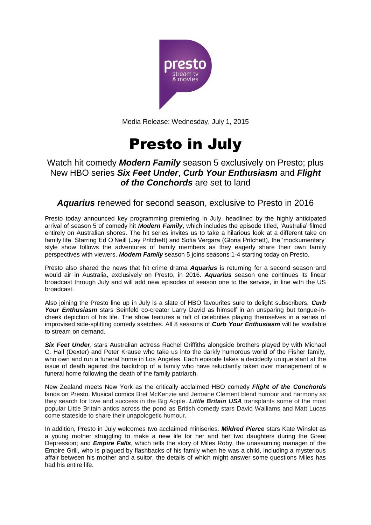

Media Release: Wednesday, July 1, 2015

# Presto in July

## Watch hit comedy *Modern Family* season 5 exclusively on Presto; plus New HBO series *Six Feet Under*, *Curb Your Enthusiasm* and *Flight of the Conchords* are set to land

*Aquarius* renewed for second season, exclusive to Presto in 2016

Presto today announced key programming premiering in July, headlined by the highly anticipated arrival of season 5 of comedy hit *Modern Family*, which includes the episode titled, 'Australia' filmed entirely on Australian shores. The hit series invites us to take a hilarious look at a different take on family life. Starring Ed O'Neill (Jay Pritchett) and Sofia Vergara (Gloria Pritchett), the 'mockumentary' style show follows the adventures of family members as they eagerly share their own family perspectives with viewers. *Modern Family* season 5 joins seasons 1-4 starting today on Presto.

Presto also shared the news that hit crime drama *Aquarius* is returning for a second season and would air in Australia, exclusively on Presto, in 2016. *Aquarius* season one continues its linear broadcast through July and will add new episodes of season one to the service, in line with the US broadcast.

Also joining the Presto line up in July is a slate of HBO favourites sure to delight subscribers. *Curb Your Enthusiasm* stars Seinfeld co-creator Larry David as himself in an unsparing but tongue-incheek depiction of his life. The show features a raft of celebrities playing themselves in a series of improvised side-splitting comedy sketches. All 8 seasons of *Curb Your Enthusiasm* will be available to stream on demand.

**Six Feet Under**, stars Australian actress Rachel Griffiths alongside brothers played by with Michael C. Hall (Dexter) and Peter Krause who take us into the darkly humorous world of the Fisher family, who own and run a funeral home in Los Angeles. Each episode takes a decidedly unique slant at the issue of death against the backdrop of a family who have reluctantly taken over management of a funeral home following the death of the family patriarch.

New Zealand meets New York as the critically acclaimed HBO comedy *Flight of the Conchords* lands on Presto. Musical comics Bret McKenzie and Jemaine Clement blend humour and harmony as they search for love and success in the Big Apple. *Little Britain USA* transplants some of the most popular Little Britain antics across the pond as British comedy stars David Walliams and Matt Lucas come stateside to share their unapologetic humour.

In addition, Presto in July welcomes two acclaimed miniseries. *Mildred Pierce* stars Kate Winslet as a young mother struggling to make a new life for her and her two daughters during the Great Depression; and *Empire Falls*, which tells the story of Miles Roby, the unassuming manager of the Empire Grill, who is plagued by flashbacks of his family when he was a child, including a mysterious affair between his mother and a suitor, the details of which might answer some questions Miles has had his entire life.